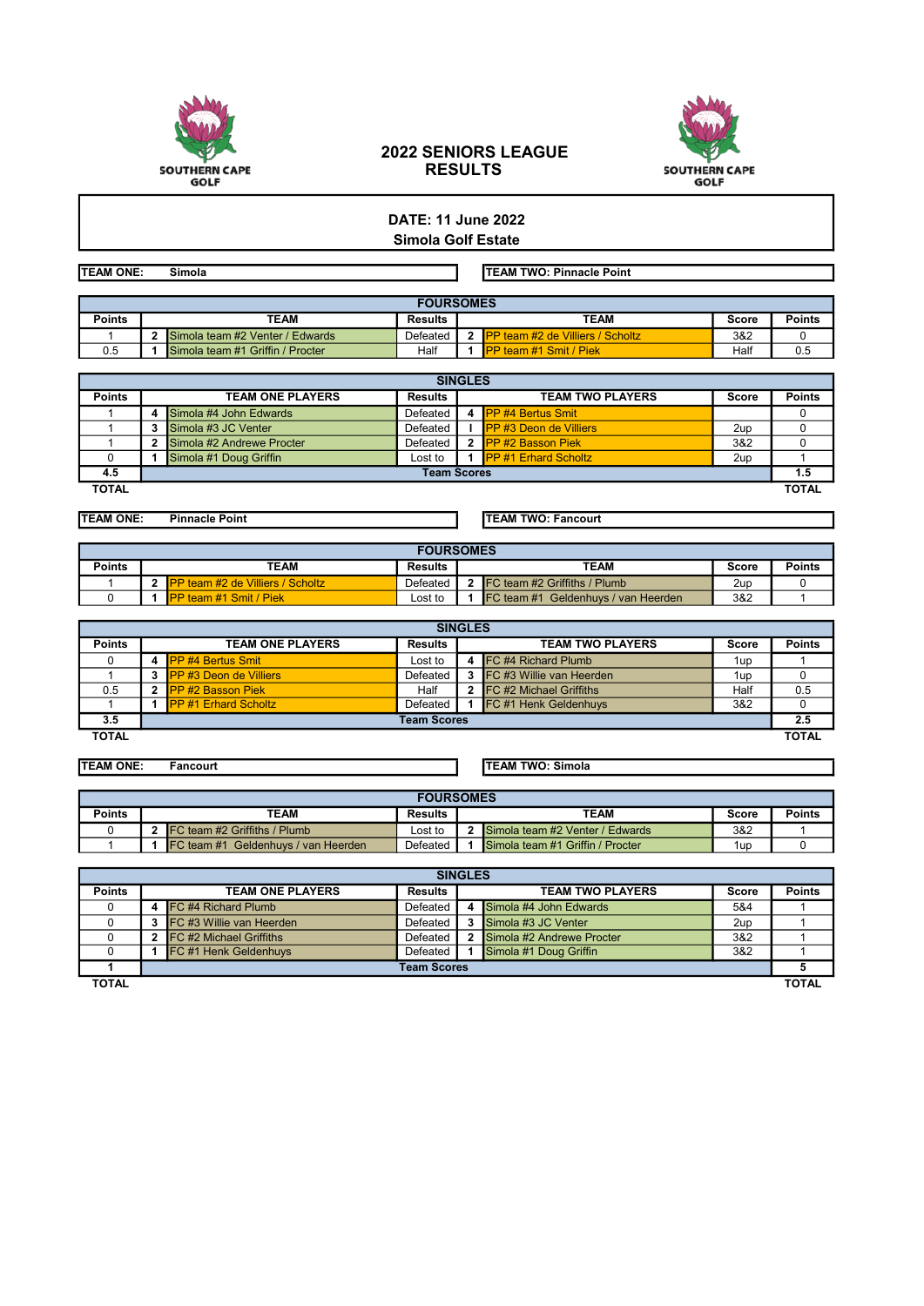

## 2022 SENIORS LEAGUE RESULTS



## DATE: 11 June 2022 Simola Golf Estate

TEAM ONE: Simola TEAM TWO: Pinnacle Point

|               | <b>FOURSOMES</b> |                                  |                |      |                                     |       |        |  |  |  |  |
|---------------|------------------|----------------------------------|----------------|------|-------------------------------------|-------|--------|--|--|--|--|
| <b>Points</b> | TEAM             |                                  | <b>Results</b> | TEAM |                                     | Score | Points |  |  |  |  |
|               |                  | Simola team #2 Venter / Edwards  | Defeated       |      | . IPP team #2 de Villiers / Scholtz | 3&2   |        |  |  |  |  |
| 0.5           |                  | Simola team #1 Griffin / Procter | Half           |      | <b>IPP team #1 Smit / Piek</b>      | Half  | 0.5    |  |  |  |  |

| <b>SINGLES</b> |                         |                           |                |                         |                                |              |               |  |  |  |  |  |
|----------------|-------------------------|---------------------------|----------------|-------------------------|--------------------------------|--------------|---------------|--|--|--|--|--|
| <b>Points</b>  | <b>TEAM ONE PLAYERS</b> |                           | <b>Results</b> | <b>TEAM TWO PLAYERS</b> |                                | <b>Score</b> | <b>Points</b> |  |  |  |  |  |
|                |                         | Simola #4 John Edwards    | Defeated       |                         | 4 PP #4 Bertus Smit            |              |               |  |  |  |  |  |
|                |                         | Simola #3 JC Venter       | Defeated       |                         | <b>IPP #3 Deon de Villiers</b> | 2up          |               |  |  |  |  |  |
|                |                         | Simola #2 Andrewe Procter | Defeated       |                         | 2 PP #2 Basson Piek            | 3&2          |               |  |  |  |  |  |
|                |                         | Simola #1 Doug Griffin    | Lost to        |                         | 1 PP #1 Erhard Scholtz         | 2up          |               |  |  |  |  |  |
| 4.5            | <b>Team Scores</b>      |                           |                |                         |                                |              |               |  |  |  |  |  |
| <b>TOTAL</b>   |                         |                           |                |                         |                                |              | <b>TOTAL</b>  |  |  |  |  |  |

TEAM ONE: Pinnacle Point TEAM TWO: Fancourt

|               | <b>FOURSOMES</b> |                                          |                |      |                                             |       |               |  |  |  |  |  |
|---------------|------------------|------------------------------------------|----------------|------|---------------------------------------------|-------|---------------|--|--|--|--|--|
| <b>Points</b> | TEAM             |                                          | <b>Results</b> | TEAM |                                             | Score | <b>Points</b> |  |  |  |  |  |
|               |                  | <b>IPP team #2 de Villiers / Scholtz</b> | Defeated       |      | FC team #2 Griffiths / Plumb                | 2up   |               |  |  |  |  |  |
|               |                  | <b>IPP team #1 Smit / Piek</b>           | Lost to        |      | <b>IFC team #1 Geldenhuvs / van Heerden</b> | 3&2   |               |  |  |  |  |  |

| <b>SINGLES</b> |                         |                                  |                |                         |                                   |       |               |  |  |  |  |  |
|----------------|-------------------------|----------------------------------|----------------|-------------------------|-----------------------------------|-------|---------------|--|--|--|--|--|
| <b>Points</b>  | <b>TEAM ONE PLAYERS</b> |                                  | <b>Results</b> | <b>TEAM TWO PLAYERS</b> |                                   | Score | <b>Points</b> |  |  |  |  |  |
|                |                         | 4 <b>IPP #4 Bertus Smit</b>      | Lost to        |                         | 4 IFC #4 Richard Plumb            | 1up   |               |  |  |  |  |  |
|                |                         | 3 <b>IPP #3 Deon de Villiers</b> | Defeated       |                         | <b>3</b> FC #3 Willie van Heerden | 1up   |               |  |  |  |  |  |
| 0.5            |                         | 2 <b>IPP #2 Basson Piek</b>      | Half           |                         | <b>2 IFC</b> #2 Michael Griffiths | Half  | 0.5           |  |  |  |  |  |
|                |                         | <b>PP #1 Erhard Scholtz</b>      | Defeated       |                         | <b>FC #1 Henk Geldenhuvs</b>      | 3&2   |               |  |  |  |  |  |
| 3.5            | <b>Team Scores</b>      |                                  |                |                         |                                   |       |               |  |  |  |  |  |
| <b>TOTAL</b>   |                         |                                  |                |                         |                                   |       | <b>TOTAL</b>  |  |  |  |  |  |

TEAM ONE: Fancourt TEAM TWO: Simola

|        | <b>FOURSOMES</b> |                                     |                |  |                                  |     |        |  |  |  |  |  |
|--------|------------------|-------------------------------------|----------------|--|----------------------------------|-----|--------|--|--|--|--|--|
| Points |                  | TEAM                                | <b>Results</b> |  | TEAM                             |     | Points |  |  |  |  |  |
|        |                  | FC team #2 Griffiths / Plumb        | ∟ost to        |  | Simola team #2 Venter / Edwards  | 3&2 |        |  |  |  |  |  |
|        |                  | FC team #1 Geldenhuys / van Heerden | Defeated       |  | Simola team #1 Griffin / Procter | 1up |        |  |  |  |  |  |

| <b>SINGLES</b> |                    |                                 |                |                         |                           |       |               |  |  |  |  |  |
|----------------|--------------------|---------------------------------|----------------|-------------------------|---------------------------|-------|---------------|--|--|--|--|--|
| <b>Points</b>  |                    | <b>TEAM ONE PLAYERS</b>         | <b>Results</b> | <b>TEAM TWO PLAYERS</b> |                           | Score | <b>Points</b> |  |  |  |  |  |
|                | 4                  | FC #4 Richard Plumb             | Defeated       |                         | Simola #4 John Edwards    | 5&4   |               |  |  |  |  |  |
|                |                    | <b>FC #3 Willie van Heerden</b> | Defeated       |                         | Simola #3 JC Venter       | 2up   |               |  |  |  |  |  |
|                |                    | FC #2 Michael Griffiths         | Defeated       |                         | Simola #2 Andrewe Procter | 3&2   |               |  |  |  |  |  |
|                |                    | FC #1 Henk Geldenhuys           | Defeated       |                         | Simola #1 Doug Griffin    | 3&2   |               |  |  |  |  |  |
|                | <b>Team Scores</b> |                                 |                |                         |                           |       |               |  |  |  |  |  |
| <b>TOTAL</b>   |                    |                                 |                |                         |                           |       | <b>TOTAL</b>  |  |  |  |  |  |